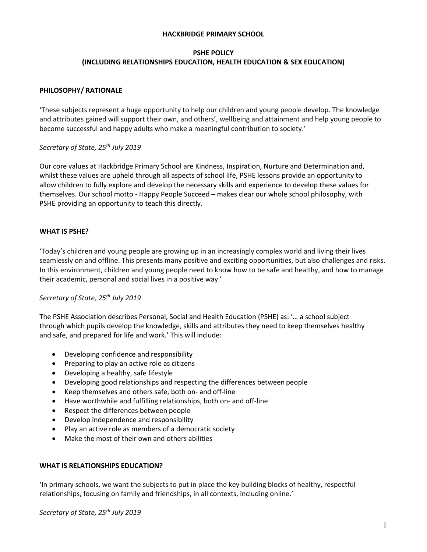#### **HACKBRIDGE PRIMARY SCHOOL**

#### **PSHE POLICY (INCLUDING RELATIONSHIPS EDUCATION, HEALTH EDUCATION & SEX EDUCATION)**

#### **PHILOSOPHY/ RATIONALE**

'These subjects represent a huge opportunity to help our children and young people develop. The knowledge and attributes gained will support their own, and others', wellbeing and attainment and help young people to become successful and happy adults who make a meaningful contribution to society.'

### *Secretary of State, 25th July 2019*

Our core values at Hackbridge Primary School are Kindness, Inspiration, Nurture and Determination and, whilst these values are upheld through all aspects of school life, PSHE lessons provide an opportunity to allow children to fully explore and develop the necessary skills and experience to develop these values for themselves. Our school motto - Happy People Succeed – makes clear our whole school philosophy, with PSHE providing an opportunity to teach this directly.

### **WHAT IS PSHE?**

'Today's children and young people are growing up in an increasingly complex world and living their lives seamlessly on and offline. This presents many positive and exciting opportunities, but also challenges and risks. In this environment, children and young people need to know how to be safe and healthy, and how to manage their academic, personal and social lives in a positive way.'

#### *Secretary of State, 25th July 2019*

The PSHE Association describes Personal, Social and Health Education (PSHE) as: '… a school subject through which pupils develop the knowledge, skills and attributes they need to keep themselves healthy and safe, and prepared for life and work.' This will include:

- Developing confidence and responsibility
- Preparing to play an active role as citizens
- Developing a healthy, safe lifestyle
- Developing good relationships and respecting the differences between people
- Keep themselves and others safe, both on- and off-line
- Have worthwhile and fulfilling relationships, both on- and off-line
- Respect the differences between people
- Develop independence and responsibility
- Play an active role as members of a democratic society
- Make the most of their own and others abilities

#### **WHAT IS RELATIONSHIPS EDUCATION?**

'In primary schools, we want the subjects to put in place the key building blocks of healthy, respectful relationships, focusing on family and friendships, in all contexts, including online.'

*Secretary of State, 25th July 2019*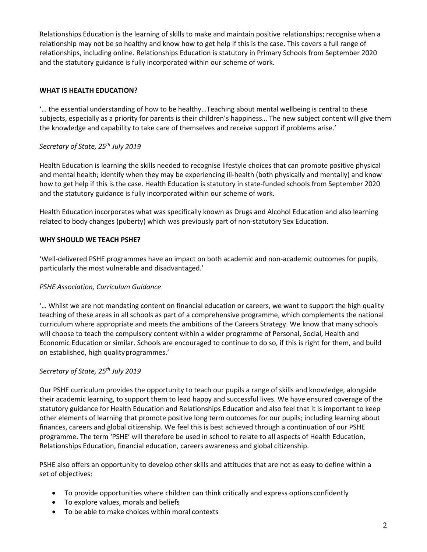Relationships Education is the learning of skills to make and maintain positive relationships; recognise when a relationship may not be so healthy and know how to get help if this is the case. This covers a full range of relationships, including online. Relationships Education is statutory in Primary Schools from September 2020 and the statutory guidance is fully incorporated within our scheme of work.

# **WHAT IS HEALTH EDUCATION?**

'… the essential understanding of how to be healthy…Teaching about mental wellbeing is central to these subjects, especially as a priority for parents is their children's happiness… The new subject content will give them the knowledge and capability to take care of themselves and receive support if problems arise.'

# *Secretary of State, 25th July 2019*

Health Education is learning the skills needed to recognise lifestyle choices that can promote positive physical and mental health; identify when they may be experiencing ill-health (both physically and mentally) and know how to get help if this is the case. Health Education is statutory in state-funded schools from September 2020 and the statutory guidance is fully incorporated within our scheme of work.

Health Education incorporates what was specifically known as Drugs and Alcohol Education and also learning related to body changes (puberty) which was previously part of non-statutory Sex Education.

# **WHY SHOULD WE TEACH PSHE?**

'Well-delivered PSHE programmes have an impact on both academic and non-academic outcomes for pupils, particularly the most vulnerable and disadvantaged.'

## *PSHE Association, Curriculum Guidance*

'… Whilst we are not mandating content on financial education or careers, we want to support the high quality teaching of these areas in all schools as part of a comprehensive programme, which complements the national curriculum where appropriate and meets the ambitions of the Careers Strategy. We know that many schools will choose to teach the compulsory content within a wider programme of Personal, Social, Health and Economic Education or similar. Schools are encouraged to continue to do so, if this is right for them, and build on established, high qualityprogrammes.'

## *Secretary of State, 25th July 2019*

Our PSHE curriculum provides the opportunity to teach our pupils a range of skills and knowledge, alongside their academic learning, to support them to lead happy and successful lives. We have ensured coverage of the statutory guidance for Health Education and Relationships Education and also feel that it is important to keep other elements of learning that promote positive long term outcomes for our pupils; including learning about finances, careers and global citizenship. We feel this is best achieved through a continuation of our PSHE programme. The term 'PSHE' will therefore be used in school to relate to all aspects of Health Education, Relationships Education, financial education, careers awareness and global citizenship.

PSHE also offers an opportunity to develop other skills and attitudes that are not as easy to define within a set of objectives:

- To provide opportunities where children can think critically and express optionsconfidently
- To explore values, morals and beliefs
- To be able to make choices within moral contexts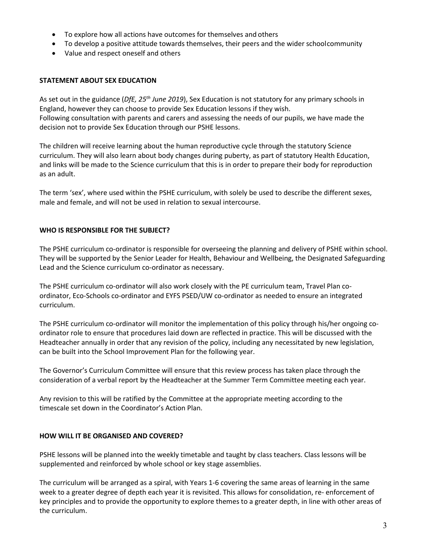- To explore how all actions have outcomes for themselves and others
- To develop a positive attitude towards themselves, their peers and the wider schoolcommunity
- Value and respect oneself and others

# **STATEMENT ABOUT SEX EDUCATION**

As set out in the guidance (*DfE, 25th June 2019*), Sex Education is not statutory for any primary schools in England, however they can choose to provide Sex Education lessons if they wish. Following consultation with parents and carers and assessing the needs of our pupils, we have made the decision not to provide Sex Education through our PSHE lessons.

The children will receive learning about the human reproductive cycle through the statutory Science curriculum. They will also learn about body changes during puberty, as part of statutory Health Education, and links will be made to the Science curriculum that this is in order to prepare their body for reproduction as an adult.

The term 'sex', where used within the PSHE curriculum, with solely be used to describe the different sexes, male and female, and will not be used in relation to sexual intercourse.

## **WHO IS RESPONSIBLE FOR THE SUBJECT?**

The PSHE curriculum co-ordinator is responsible for overseeing the planning and delivery of PSHE within school. They will be supported by the Senior Leader for Health, Behaviour and Wellbeing, the Designated Safeguarding Lead and the Science curriculum co-ordinator as necessary.

The PSHE curriculum co-ordinator will also work closely with the PE curriculum team, Travel Plan coordinator, Eco-Schools co-ordinator and EYFS PSED/UW co-ordinator as needed to ensure an integrated curriculum.

The PSHE curriculum co-ordinator will monitor the implementation of this policy through his/her ongoing coordinator role to ensure that procedures laid down are reflected in practice. This will be discussed with the Headteacher annually in order that any revision of the policy, including any necessitated by new legislation, can be built into the School Improvement Plan for the following year.

The Governor's Curriculum Committee will ensure that this review process has taken place through the consideration of a verbal report by the Headteacher at the Summer Term Committee meeting each year.

Any revision to this will be ratified by the Committee at the appropriate meeting according to the timescale set down in the Coordinator's Action Plan.

## **HOW WILL IT BE ORGANISED AND COVERED?**

PSHE lessons will be planned into the weekly timetable and taught by class teachers. Class lessons will be supplemented and reinforced by whole school or key stage assemblies.

The curriculum will be arranged as a spiral, with Years 1-6 covering the same areas of learning in the same week to a greater degree of depth each year it is revisited. This allows for consolidation, re- enforcement of key principles and to provide the opportunity to explore themes to a greater depth, in line with other areas of the curriculum.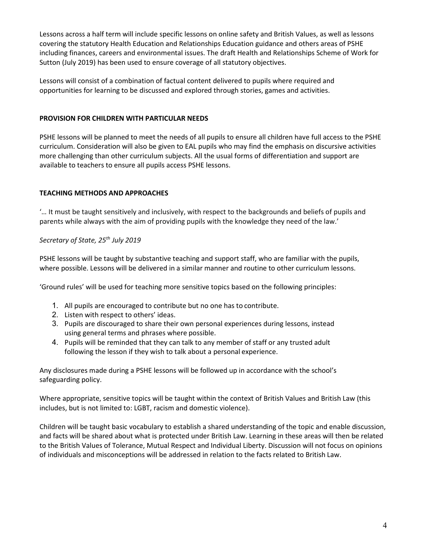Lessons across a half term will include specific lessons on online safety and British Values, as well as lessons covering the statutory Health Education and Relationships Education guidance and others areas of PSHE including finances, careers and environmental issues. The draft Health and Relationships Scheme of Work for Sutton (July 2019) has been used to ensure coverage of all statutory objectives.

Lessons will consist of a combination of factual content delivered to pupils where required and opportunities for learning to be discussed and explored through stories, games and activities.

## **PROVISION FOR CHILDREN WITH PARTICULAR NEEDS**

PSHE lessons will be planned to meet the needs of all pupils to ensure all children have full access to the PSHE curriculum. Consideration will also be given to EAL pupils who may find the emphasis on discursive activities more challenging than other curriculum subjects. All the usual forms of differentiation and support are available to teachers to ensure all pupils access PSHE lessons.

# **TEACHING METHODS AND APPROACHES**

'… It must be taught sensitively and inclusively, with respect to the backgrounds and beliefs of pupils and parents while always with the aim of providing pupils with the knowledge they need of the law.'

## *Secretary of State, 25th July 2019*

PSHE lessons will be taught by substantive teaching and support staff, who are familiar with the pupils, where possible. Lessons will be delivered in a similar manner and routine to other curriculum lessons.

'Ground rules' will be used for teaching more sensitive topics based on the following principles:

- 1. All pupils are encouraged to contribute but no one has to contribute.
- 2. Listen with respect to others' ideas.
- 3. Pupils are discouraged to share their own personal experiences during lessons, instead using general terms and phrases where possible.
- 4. Pupils will be reminded that they can talk to any member of staff or any trusted adult following the lesson if they wish to talk about a personal experience.

Any disclosures made during a PSHE lessons will be followed up in accordance with the school's safeguarding policy.

Where appropriate, sensitive topics will be taught within the context of British Values and British Law (this includes, but is not limited to: LGBT, racism and domestic violence).

Children will be taught basic vocabulary to establish a shared understanding of the topic and enable discussion, and facts will be shared about what is protected under British Law. Learning in these areas will then be related to the British Values of Tolerance, Mutual Respect and Individual Liberty. Discussion will not focus on opinions of individuals and misconceptions will be addressed in relation to the facts related to British Law.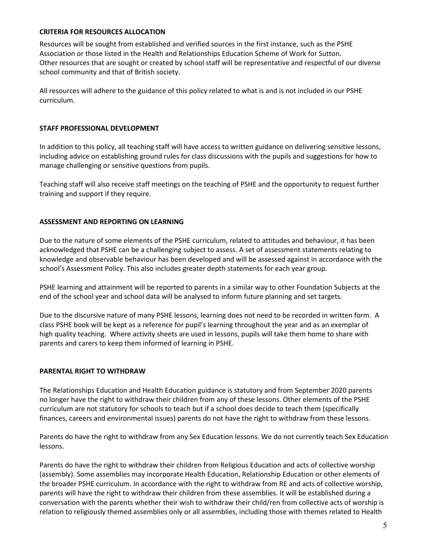#### **CRITERIA FOR RESOURCES ALLOCATION**

Resources will be sought from established and verified sources in the first instance, such as the PSHE Association or those listed in the Health and Relationships Education Scheme of Work for Sutton. Other resources that are sought or created by school staff will be representative and respectful of our diverse school community and that of British society.

All resources will adhere to the guidance of this policy related to what is and is not included in our PSHE curriculum.

#### **STAFF PROFESSIONAL DEVELOPMENT**

In addition to this policy, all teaching staff will have access to written guidance on delivering sensitive lessons, including advice on establishing ground rules for class discussions with the pupils and suggestions for how to manage challenging or sensitive questions from pupils.

Teaching staff will also receive staff meetings on the teaching of PSHE and the opportunity to request further training and support if they require.

#### **ASSESSMENT AND REPORTING ON LEARNING**

Due to the nature of some elements of the PSHE curriculum, related to attitudes and behaviour, it has been acknowledged that PSHE can be a challenging subject to assess. A set of assessment statements relating to knowledge and observable behaviour has been developed and will be assessed against in accordance with the school's Assessment Policy. This also includes greater depth statements for each year group.

PSHE learning and attainment will be reported to parents in a similar way to other Foundation Subjects at the end of the school year and school data will be analysed to inform future planning and set targets.

Due to the discursive nature of many PSHE lessons, learning does not need to be recorded in written form. A class PSHE book will be kept as a reference for pupil's learning throughout the year and as an exemplar of high quality teaching. Where activity sheets are used in lessons, pupils will take them home to share with parents and carers to keep them informed of learning in PSHE.

#### **PARENTAL RIGHT TO WITHDRAW**

The Relationships Education and Health Education guidance is statutory and from September 2020 parents no longer have the right to withdraw their children from any of these lessons. Other elements of the PSHE curriculum are not statutory for schools to teach but if a school does decide to teach them (specifically finances, careers and environmental issues) parents do not have the right to withdraw from these lessons.

Parents do have the right to withdraw from any Sex Education lessons. We do not currently teach Sex Education lessons.

Parents do have the right to withdraw their children from Religious Education and acts of collective worship (assembly). Some assemblies may incorporate Health Education, Relationship Education or other elements of the broader PSHE curriculum. In accordance with the right to withdraw from RE and acts of collective worship, parents will have the right to withdraw their children from these assemblies. It will be established during a conversation with the parents whether their wish to withdraw their child/ren from collective acts of worship is relation to religiously themed assemblies only or all assemblies, including those with themes related to Health